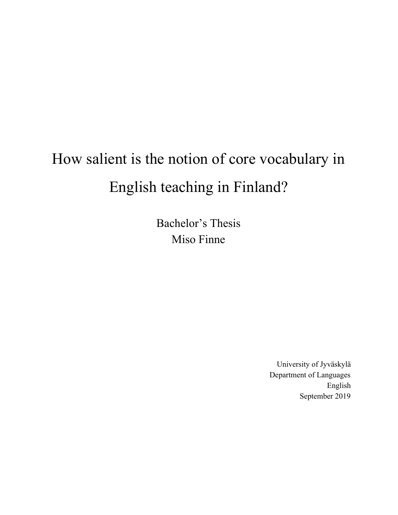# How salient is the notion of core vocabulary in English teaching in Finland?

Bachelor's Thesis Miso Finne

> University of Jyväskylä Department of Languages English September 2019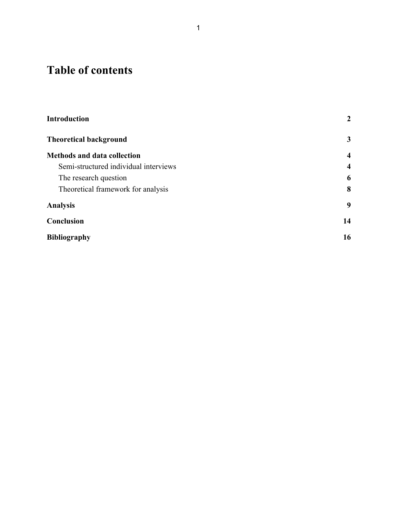## **Table of contents**

| <b>Introduction</b>                   | $\overline{2}$          |
|---------------------------------------|-------------------------|
| <b>Theoretical background</b>         | $\mathbf{3}$            |
| <b>Methods and data collection</b>    | $\overline{\mathbf{4}}$ |
| Semi-structured individual interviews | $\overline{4}$          |
| The research question                 | 6                       |
| Theoretical framework for analysis    | 8                       |
| <b>Analysis</b>                       | 9                       |
| Conclusion                            | 14                      |
| <b>Bibliography</b>                   | 16                      |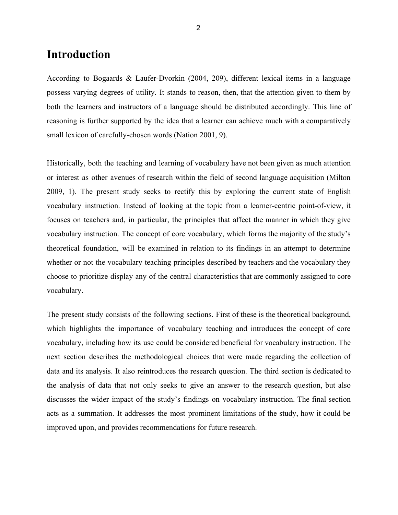## <span id="page-2-0"></span>**Introduction**

According to Bogaards & Laufer-Dvorkin (2004, 209), different lexical items in a language possess varying degrees of utility. It stands to reason, then, that the attention given to them by both the learners and instructors of a language should be distributed accordingly. This line of reasoning is further supported by the idea that a learner can achieve much with a comparatively small lexicon of carefully-chosen words (Nation 2001, 9).

Historically, both the teaching and learning of vocabulary have not been given as much attention or interest as other avenues of research within the field of second language acquisition (Milton 2009, 1). The present study seeks to rectify this by exploring the current state of English vocabulary instruction. Instead of looking at the topic from a learner-centric point-of-view, it focuses on teachers and, in particular, the principles that affect the manner in which they give vocabulary instruction. The concept of core vocabulary, which forms the majority of the study's theoretical foundation, will be examined in relation to its findings in an attempt to determine whether or not the vocabulary teaching principles described by teachers and the vocabulary they choose to prioritize display any of the central characteristics that are commonly assigned to core vocabulary.

The present study consists of the following sections. First of these is the theoretical background, which highlights the importance of vocabulary teaching and introduces the concept of core vocabulary, including how its use could be considered beneficial for vocabulary instruction. The next section describes the methodological choices that were made regarding the collection of data and its analysis. It also reintroduces the research question. The third section is dedicated to the analysis of data that not only seeks to give an answer to the research question, but also discusses the wider impact of the study's findings on vocabulary instruction. The final section acts as a summation. It addresses the most prominent limitations of the study, how it could be improved upon, and provides recommendations for future research.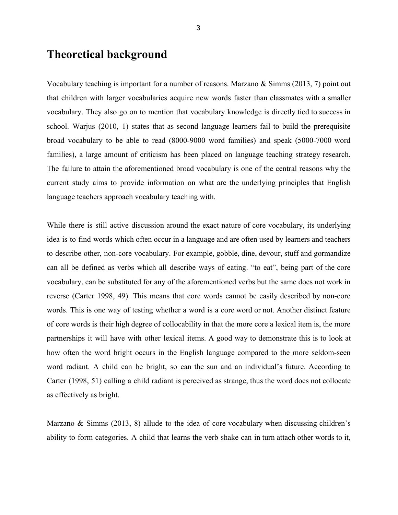## **Theoretical background**

Vocabulary teaching is important for a number of reasons. Marzano & Simms (2013, 7) point out that children with larger vocabularies acquire new words faster than classmates with a smaller vocabulary. They also go on to mention that vocabulary knowledge is directly tied to success in school. Warjus (2010, 1) states that as second language learners fail to build the prerequisite broad vocabulary to be able to read (8000-9000 word families) and speak (5000-7000 word families), a large amount of criticism has been placed on language teaching strategy research. The failure to attain the aforementioned broad vocabulary is one of the central reasons why the current study aims to provide information on what are the underlying principles that English language teachers approach vocabulary teaching with.

While there is still active discussion around the exact nature of core vocabulary, its underlying idea is to find words which often occur in a language and are often used by learners and teachers to describe other, non-core vocabulary. For example, gobble, dine, devour, stuff and gormandize can all be defined as verbs which all describe ways of eating. "to eat", being part of the core vocabulary, can be substituted for any of the aforementioned verbs but the same does not work in reverse (Carter 1998, 49). This means that core words cannot be easily described by non-core words. This is one way of testing whether a word is a core word or not. Another distinct feature of core words is their high degree of collocability in that the more core a lexical item is, the more partnerships it will have with other lexical items. A good way to demonstrate this is to look at how often the word bright occurs in the English language compared to the more seldom-seen word radiant. A child can be bright, so can the sun and an individual's future. According to Carter (1998, 51) calling a child radiant is perceived as strange, thus the word does not collocate as effectively as bright.

Marzano & Simms (2013, 8) allude to the idea of core vocabulary when discussing children's ability to form categories. A child that learns the verb shake can in turn attach other words to it,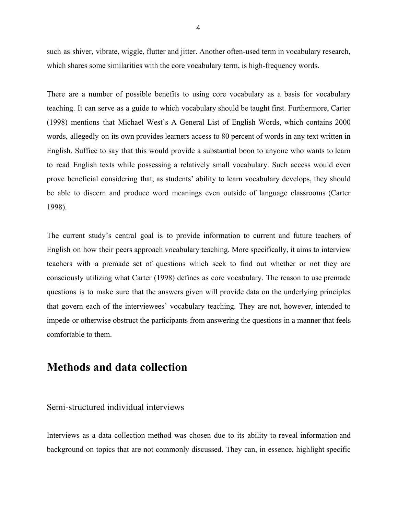such as shiver, vibrate, wiggle, flutter and jitter. Another often-used term in vocabulary research, which shares some similarities with the core vocabulary term, is high-frequency words.

There are a number of possible benefits to using core vocabulary as a basis for vocabulary teaching. It can serve as a guide to which vocabulary should be taught first. Furthermore, Carter (1998) mentions that Michael West's A General List of English Words, which contains 2000 words, allegedly on its own provides learners access to 80 percent of words in any text written in English. Suffice to say that this would provide a substantial boon to anyone who wants to learn to read English texts while possessing a relatively small vocabulary. Such access would even prove beneficial considering that, as students' ability to learn vocabulary develops, they should be able to discern and produce word meanings even outside of language classrooms (Carter 1998).

The current study's central goal is to provide information to current and future teachers of English on how their peers approach vocabulary teaching. More specifically, it aims to interview teachers with a premade set of questions which seek to find out whether or not they are consciously utilizing what Carter (1998) defines as core vocabulary. The reason to use premade questions is to make sure that the answers given will provide data on the underlying principles that govern each of the interviewees' vocabulary teaching. They are not, however, intended to impede or otherwise obstruct the participants from answering the questions in a manner that feels comfortable to them.

## <span id="page-4-0"></span>**Methods and data collection**

#### <span id="page-4-1"></span>Semi-structured individual interviews

Interviews as a data collection method was chosen due to its ability to reveal information and background on topics that are not commonly discussed. They can, in essence, highlight specific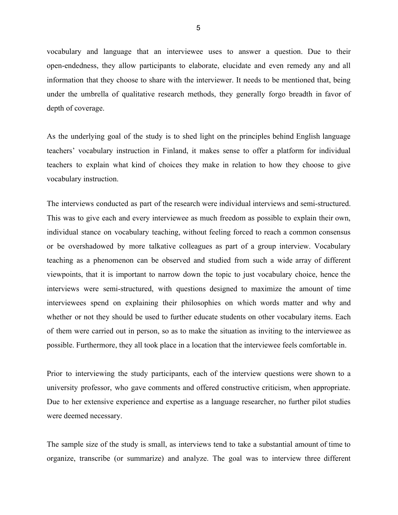vocabulary and language that an interviewee uses to answer a question. Due to their open-endedness, they allow participants to elaborate, elucidate and even remedy any and all information that they choose to share with the interviewer. It needs to be mentioned that, being under the umbrella of qualitative research methods, they generally forgo breadth in favor of depth of coverage.

As the underlying goal of the study is to shed light on the principles behind English language teachers' vocabulary instruction in Finland, it makes sense to offer a platform for individual teachers to explain what kind of choices they make in relation to how they choose to give vocabulary instruction.

The interviews conducted as part of the research were individual interviews and semi-structured. This was to give each and every interviewee as much freedom as possible to explain their own, individual stance on vocabulary teaching, without feeling forced to reach a common consensus or be overshadowed by more talkative colleagues as part of a group interview. Vocabulary teaching as a phenomenon can be observed and studied from such a wide array of different viewpoints, that it is important to narrow down the topic to just vocabulary choice, hence the interviews were semi-structured, with questions designed to maximize the amount of time interviewees spend on explaining their philosophies on which words matter and why and whether or not they should be used to further educate students on other vocabulary items. Each of them were carried out in person, so as to make the situation as inviting to the interviewee as possible. Furthermore, they all took place in a location that the interviewee feels comfortable in.

Prior to interviewing the study participants, each of the interview questions were shown to a university professor, who gave comments and offered constructive criticism, when appropriate. Due to her extensive experience and expertise as a language researcher, no further pilot studies were deemed necessary.

The sample size of the study is small, as interviews tend to take a substantial amount of time to organize, transcribe (or summarize) and analyze. The goal was to interview three different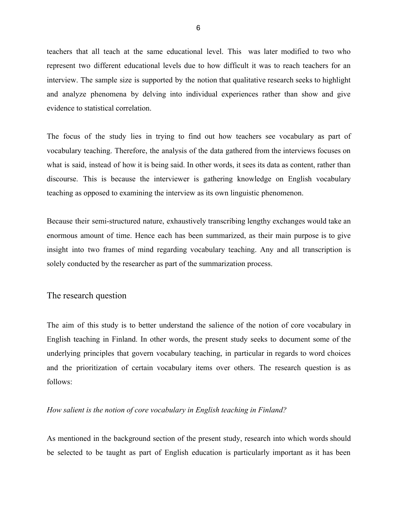teachers that all teach at the same educational level. This was later modified to two who represent two different educational levels due to how difficult it was to reach teachers for an interview. The sample size is supported by the notion that qualitative research seeks to highlight and analyze phenomena by delving into individual experiences rather than show and give evidence to statistical correlation.

The focus of the study lies in trying to find out how teachers see vocabulary as part of vocabulary teaching. Therefore, the analysis of the data gathered from the interviews focuses on what is said, instead of how it is being said. In other words, it sees its data as content, rather than discourse. This is because the interviewer is gathering knowledge on English vocabulary teaching as opposed to examining the interview as its own linguistic phenomenon.

Because their semi-structured nature, exhaustively transcribing lengthy exchanges would take an enormous amount of time. Hence each has been summarized, as their main purpose is to give insight into two frames of mind regarding vocabulary teaching. Any and all transcription is solely conducted by the researcher as part of the summarization process.

#### <span id="page-6-0"></span>The research question

The aim of this study is to better understand the salience of the notion of core vocabulary in English teaching in Finland. In other words, the present study seeks to document some of the underlying principles that govern vocabulary teaching, in particular in regards to word choices and the prioritization of certain vocabulary items over others. The research question is as follows:

#### *How salient is the notion of core vocabulary in English teaching in Finland?*

As mentioned in the background section of the present study, research into which words should be selected to be taught as part of English education is particularly important as it has been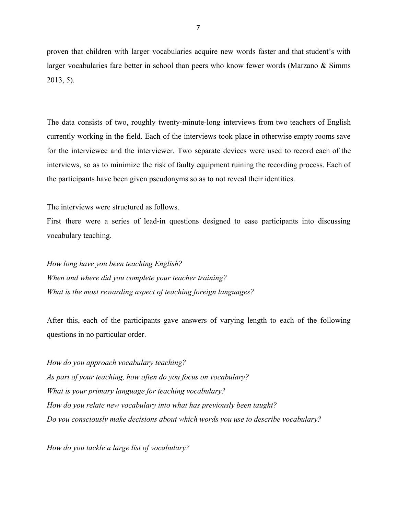proven that children with larger vocabularies acquire new words faster and that student's with larger vocabularies fare better in school than peers who know fewer words (Marzano & Simms 2013, 5).

The data consists of two, roughly twenty-minute-long interviews from two teachers of English currently working in the field. Each of the interviews took place in otherwise empty rooms save for the interviewee and the interviewer. Two separate devices were used to record each of the interviews, so as to minimize the risk of faulty equipment ruining the recording process. Each of the participants have been given pseudonyms so as to not reveal their identities.

The interviews were structured as follows.

First there were a series of lead-in questions designed to ease participants into discussing vocabulary teaching.

*How long have you been teaching English? When and where did you complete your teacher training? What is the most rewarding aspect of teaching foreign languages?*

After this, each of the participants gave answers of varying length to each of the following questions in no particular order.

*How do you approach vocabulary teaching? As part of your teaching, how often do you focus on vocabulary? What is your primary language for teaching vocabulary? How do you relate new vocabulary into what has previously been taught? Do you consciously make decisions about which words you use to describe vocabulary?*

*How do you tackle a large list of vocabulary?*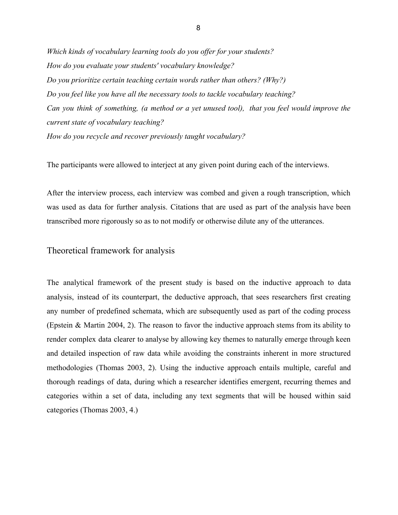*Which kinds of vocabulary learning tools do you offer for your students? How do you evaluate your students' vocabulary knowledge? Do you prioritize certain teaching certain words rather than others? (Why?) Do you feel like you have all the necessary tools to tackle vocabulary teaching? Can you think of something, (a method or a yet unused tool), that you feel would improve the current state of vocabulary teaching? How do you recycle and recover previously taught vocabulary?*

The participants were allowed to interject at any given point during each of the interviews.

After the interview process, each interview was combed and given a rough transcription, which was used as data for further analysis. Citations that are used as part of the analysis have been transcribed more rigorously so as to not modify or otherwise dilute any of the utterances.

<span id="page-8-0"></span>Theoretical framework for analysis

The analytical framework of the present study is based on the inductive approach to data analysis, instead of its counterpart, the deductive approach, that sees researchers first creating any number of predefined schemata, which are subsequently used as part of the coding process (Epstein & Martin 2004, 2). The reason to favor the inductive approach stems from its ability to render complex data clearer to analyse by allowing key themes to naturally emerge through keen and detailed inspection of raw data while avoiding the constraints inherent in more structured methodologies (Thomas 2003, 2). Using the inductive approach entails multiple, careful and thorough readings of data, during which a researcher identifies emergent, recurring themes and categories within a set of data, including any text segments that will be housed within said categories (Thomas 2003, 4.)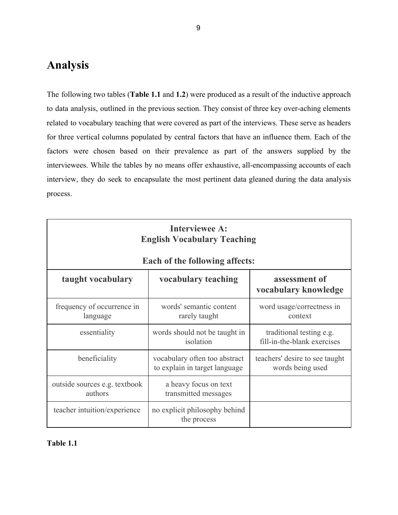## <span id="page-9-0"></span>**Analysis**

The following two tables (**Table 1.1** and **1.2**) were produced as a result of the inductive approach to data analysis, outlined in the previous section. They consist of three key over-aching elements related to vocabulary teaching that were covered as part of the interviews. These serve as headers for three vertical columns populated by central factors that have an influence them. Each of the factors were chosen based on their prevalence as part of the answers supplied by the interviewees. While the tables by no means offer exhaustive, all-encompassing accounts of each interview, they do seek to encapsulate the most pertinent data gleaned during the data analysis process.

| <b>Interviewee A:</b><br><b>English Vocabulary Teaching</b><br><b>Each of the following affects:</b> |                                                                |                                                         |  |
|------------------------------------------------------------------------------------------------------|----------------------------------------------------------------|---------------------------------------------------------|--|
| taught vocabulary                                                                                    | vocabulary teaching                                            | assessment of<br>vocabulary knowledge                   |  |
| frequency of occurrence in<br>language                                                               | words' semantic content<br>rarely taught                       | word usage/correctness in<br>context                    |  |
| essentiality                                                                                         | words should not be taught in<br>isolation                     | traditional testing e.g.<br>fill-in-the-blank exercises |  |
| beneficiality                                                                                        | vocabulary often too abstract<br>to explain in target language | teachers' desire to see taught<br>words being used      |  |
| outside sources e.g. textbook<br>authors                                                             | a heavy focus on text<br>transmitted messages                  |                                                         |  |
| teacher intuition/experience                                                                         | no explicit philosophy behind<br>the process                   |                                                         |  |

#### **Table 1.1**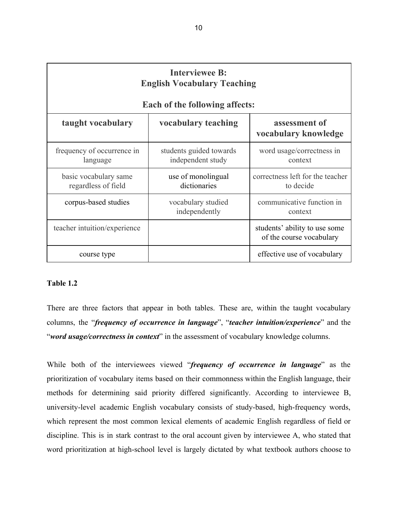| <b>Interviewee B:</b><br><b>English Vocabulary Teaching</b> |                                                              |                                                           |  |
|-------------------------------------------------------------|--------------------------------------------------------------|-----------------------------------------------------------|--|
| taught vocabulary                                           | <b>Each of the following affects:</b><br>vocabulary teaching | assessment of<br>vocabulary knowledge                     |  |
| frequency of occurrence in<br>language                      | students guided towards<br>independent study                 | word usage/correctness in<br>context                      |  |
| basic vocabulary same<br>regardless of field                | use of monolingual<br>dictionaries                           | correctness left for the teacher<br>to decide             |  |
| corpus-based studies                                        | vocabulary studied<br>independently                          | communicative function in<br>context                      |  |
| teacher intuition/experience                                |                                                              | students' ability to use some<br>of the course vocabulary |  |
| course type                                                 |                                                              | effective use of vocabulary                               |  |

#### **Table 1.2**

There are three factors that appear in both tables. These are, within the taught vocabulary columns, the "*frequency of occurrence in language*", "*teacher intuition/experience*" and the "*word usage/correctness in context*" in the assessment of vocabulary knowledge columns.

While both of the interviewees viewed "*frequency of occurrence in language*" as the prioritization of vocabulary items based on their commonness within the English language, their methods for determining said priority differed significantly. According to interviewee B, university-level academic English vocabulary consists of study-based, high-frequency words, which represent the most common lexical elements of academic English regardless of field or discipline. This is in stark contrast to the oral account given by interviewee A, who stated that word prioritization at high-school level is largely dictated by what textbook authors choose to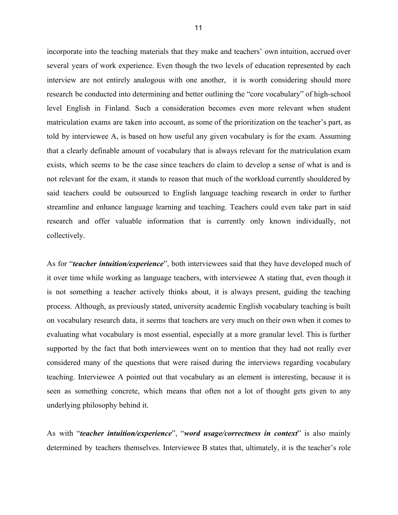incorporate into the teaching materials that they make and teachers' own intuition, accrued over several years of work experience. Even though the two levels of education represented by each interview are not entirely analogous with one another, it is worth considering should more research be conducted into determining and better outlining the "core vocabulary" of high-school level English in Finland. Such a consideration becomes even more relevant when student matriculation exams are taken into account, as some of the prioritization on the teacher's part, as told by interviewee A, is based on how useful any given vocabulary is for the exam. Assuming that a clearly definable amount of vocabulary that is always relevant for the matriculation exam exists, which seems to be the case since teachers do claim to develop a sense of what is and is not relevant for the exam, it stands to reason that much of the workload currently shouldered by said teachers could be outsourced to English language teaching research in order to further streamline and enhance language learning and teaching. Teachers could even take part in said research and offer valuable information that is currently only known individually, not collectively.

As for "*teacher intuition/experience*", both interviewees said that they have developed much of it over time while working as language teachers, with interviewee A stating that, even though it is not something a teacher actively thinks about, it is always present, guiding the teaching process. Although, as previously stated, university academic English vocabulary teaching is built on vocabulary research data, it seems that teachers are very much on their own when it comes to evaluating what vocabulary is most essential, especially at a more granular level. This is further supported by the fact that both interviewees went on to mention that they had not really ever considered many of the questions that were raised during the interviews regarding vocabulary teaching. Interviewee A pointed out that vocabulary as an element is interesting, because it is seen as something concrete, which means that often not a lot of thought gets given to any underlying philosophy behind it.

As with "*teacher intuition/experience*", "*word usage/correctness in context*" is also mainly determined by teachers themselves. Interviewee B states that, ultimately, it is the teacher's role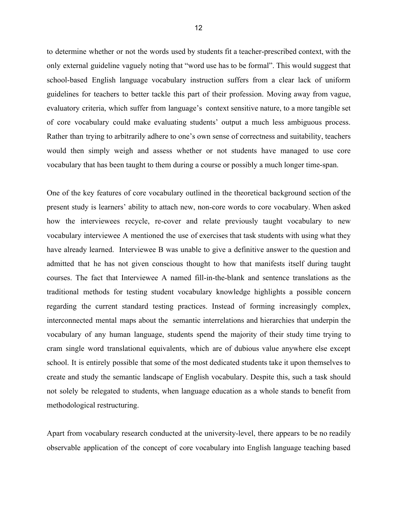to determine whether or not the words used by students fit a teacher-prescribed context, with the only external guideline vaguely noting that "word use has to be formal". This would suggest that school-based English language vocabulary instruction suffers from a clear lack of uniform guidelines for teachers to better tackle this part of their profession. Moving away from vague, evaluatory criteria, which suffer from language's context sensitive nature, to a more tangible set of core vocabulary could make evaluating students' output a much less ambiguous process. Rather than trying to arbitrarily adhere to one's own sense of correctness and suitability, teachers would then simply weigh and assess whether or not students have managed to use core vocabulary that has been taught to them during a course or possibly a much longer time-span.

One of the key features of core vocabulary outlined in the theoretical background section of the present study is learners' ability to attach new, non-core words to core vocabulary. When asked how the interviewees recycle, re-cover and relate previously taught vocabulary to new vocabulary interviewee A mentioned the use of exercises that task students with using what they have already learned. Interviewee B was unable to give a definitive answer to the question and admitted that he has not given conscious thought to how that manifests itself during taught courses. The fact that Interviewee A named fill-in-the-blank and sentence translations as the traditional methods for testing student vocabulary knowledge highlights a possible concern regarding the current standard testing practices. Instead of forming increasingly complex, interconnected mental maps about the semantic interrelations and hierarchies that underpin the vocabulary of any human language, students spend the majority of their study time trying to cram single word translational equivalents, which are of dubious value anywhere else except school. It is entirely possible that some of the most dedicated students take it upon themselves to create and study the semantic landscape of English vocabulary. Despite this, such a task should not solely be relegated to students, when language education as a whole stands to benefit from methodological restructuring.

Apart from vocabulary research conducted at the university-level, there appears to be no readily observable application of the concept of core vocabulary into English language teaching based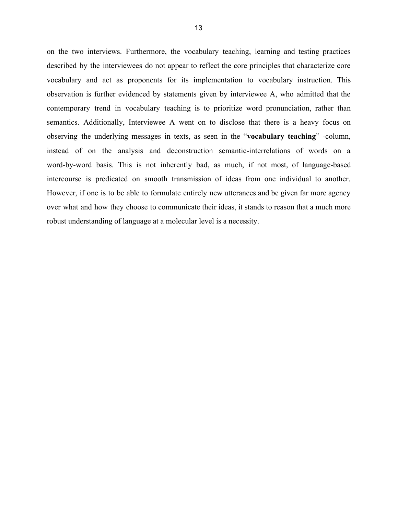on the two interviews. Furthermore, the vocabulary teaching, learning and testing practices described by the interviewees do not appear to reflect the core principles that characterize core vocabulary and act as proponents for its implementation to vocabulary instruction. This observation is further evidenced by statements given by interviewee A, who admitted that the contemporary trend in vocabulary teaching is to prioritize word pronunciation, rather than semantics. Additionally, Interviewee A went on to disclose that there is a heavy focus on observing the underlying messages in texts, as seen in the "**vocabulary teaching**" -column, instead of on the analysis and deconstruction semantic-interrelations of words on a word-by-word basis. This is not inherently bad, as much, if not most, of language-based intercourse is predicated on smooth transmission of ideas from one individual to another. However, if one is to be able to formulate entirely new utterances and be given far more agency over what and how they choose to communicate their ideas, it stands to reason that a much more robust understanding of language at a molecular level is a necessity.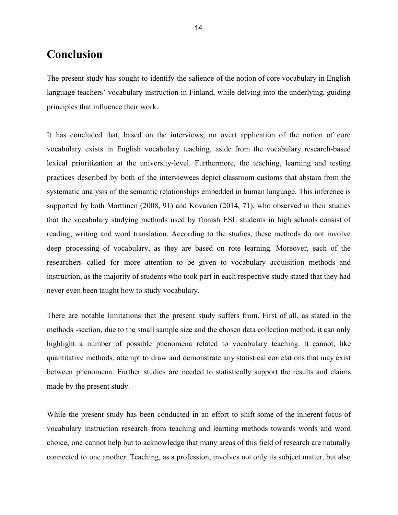## <span id="page-14-0"></span>**Conclusion**

The present study has sought to identify the salience of the notion of core vocabulary in English language teachers' vocabulary instruction in Finland, while delving into the underlying, guiding principles that influence their work.

It has concluded that, based on the interviews, no overt application of the notion of core vocabulary exists in English vocabulary teaching, aside from the vocabulary research-based lexical prioritization at the university-level. Furthermore, the teaching, learning and testing practices described by both of the interviewees depict classroom customs that abstain from the systematic analysis of the semantic relationships embedded in human language. This inference is supported by both Marttinen (2008, 91) and Kovanen (2014, 71), who observed in their studies that the vocabulary studying methods used by finnish ESL students in high schools consist of reading, writing and word translation. According to the studies, these methods do not involve deep processing of vocabulary, as they are based on rote learning. Moreover, each of the researchers called for more attention to be given to vocabulary acquisition methods and instruction, as the majority of students who took part in each respective study stated that they had never even been taught how to study vocabulary.

There are notable limitations that the present study suffers from. First of all, as stated in the methods -section, due to the small sample size and the chosen data collection method, it can only highlight a number of possible phenomena related to vocabulary teaching. It cannot, like quantitative methods, attempt to draw and demonstrate any statistical correlations that may exist between phenomena. Further studies are needed to statistically support the results and claims made by the present study.

While the present study has been conducted in an effort to shift some of the inherent focus of vocabulary instruction research from teaching and learning methods towards words and word choice, one cannot help but to acknowledge that many areas of this field of research are naturally connected to one another. Teaching, as a profession, involves not only its subject matter, but also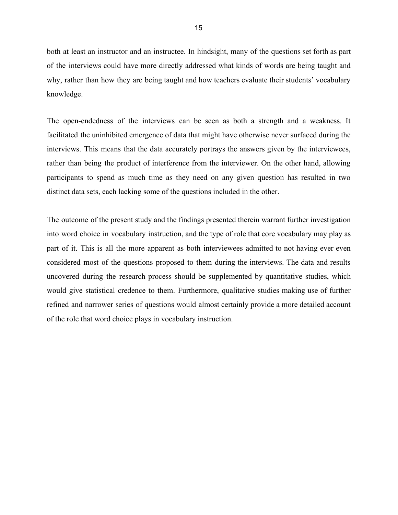both at least an instructor and an instructee. In hindsight, many of the questions set forth as part of the interviews could have more directly addressed what kinds of words are being taught and why, rather than how they are being taught and how teachers evaluate their students' vocabulary knowledge.

The open-endedness of the interviews can be seen as both a strength and a weakness. It facilitated the uninhibited emergence of data that might have otherwise never surfaced during the interviews. This means that the data accurately portrays the answers given by the interviewees, rather than being the product of interference from the interviewer. On the other hand, allowing participants to spend as much time as they need on any given question has resulted in two distinct data sets, each lacking some of the questions included in the other.

The outcome of the present study and the findings presented therein warrant further investigation into word choice in vocabulary instruction, and the type of role that core vocabulary may play as part of it. This is all the more apparent as both interviewees admitted to not having ever even considered most of the questions proposed to them during the interviews. The data and results uncovered during the research process should be supplemented by quantitative studies, which would give statistical credence to them. Furthermore, qualitative studies making use of further refined and narrower series of questions would almost certainly provide a more detailed account of the role that word choice plays in vocabulary instruction.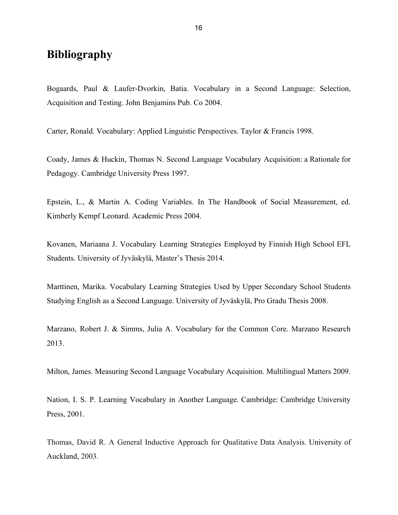## **Bibliography**

Bogaards, Paul & Laufer-Dvorkin, Batia. Vocabulary in a Second Language: Selection, Acquisition and Testing. John Benjamins Pub. Co 2004.

Carter, Ronald. Vocabulary: Applied Linguistic Perspectives. Taylor & Francis 1998.

Coady, James & Huckin, Thomas N. Second Language Vocabulary Acquisition: a Rationale for Pedagogy. Cambridge University Press 1997.

Epstein, L., & Martin A. Coding Variables. In The Handbook of Social Measurement, ed. Kimberly Kempf Leonard. Academic Press 2004.

Kovanen, Mariaana J. Vocabulary Learning Strategies Employed by Finnish High School EFL Students. University of Jyväskylä, Master's Thesis 2014.

Marttinen, Marika. Vocabulary Learning Strategies Used by Upper Secondary School Students Studying English as a Second Language. University of Jyväskylä, Pro Gradu Thesis 2008.

Marzano, Robert J. & Simms, Julia A. Vocabulary for the Common Core. Marzano Research 2013.

Milton, James. Measuring Second Language Vocabulary Acquisition. Multilingual Matters 2009.

Nation, I. S. P. Learning Vocabulary in Another Language. Cambridge: Cambridge University Press, 2001.

Thomas, David R. A General Inductive Approach for Qualitative Data Analysis. University of Auckland, 2003.